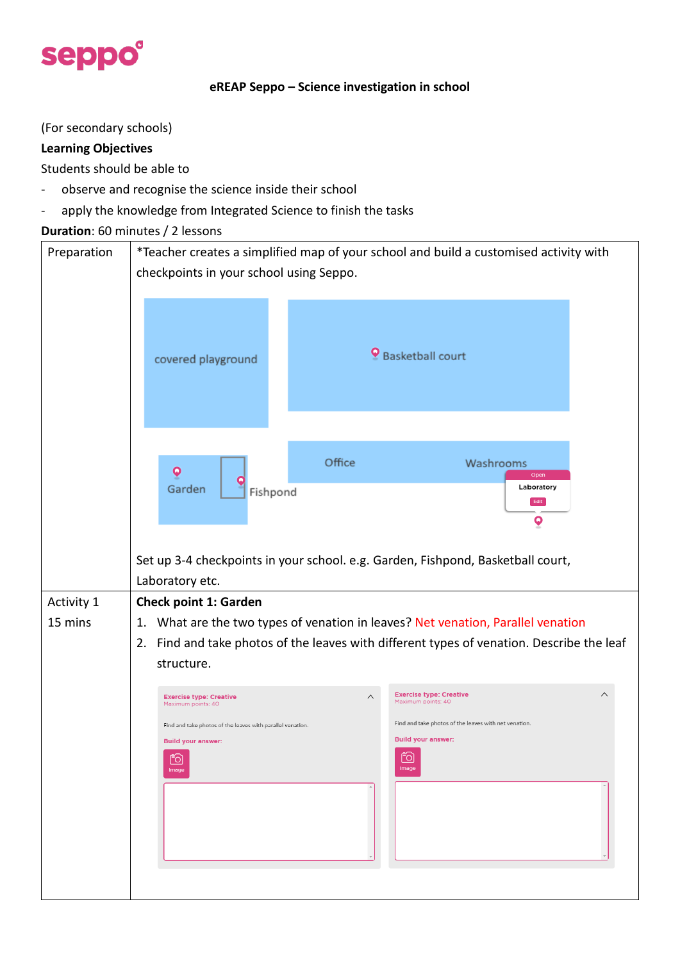

#### **eREAP Seppo – Science investigation in school**

(For secondary schools)

#### **Learning Objectives**

Students should be able to

- observe and recognise the science inside their school
- apply the knowledge from Integrated Science to finish the tasks

#### **Duration**: 60 minutes / 2 lessons

| Preparation | *Teacher creates a simplified map of your school and build a customised activity with<br>checkpoints in your school using Seppo.     |  |  |  |  |  |  |  |  |  |  |  |  |  |
|-------------|--------------------------------------------------------------------------------------------------------------------------------------|--|--|--|--|--|--|--|--|--|--|--|--|--|
|             | Basketball court<br>covered playground                                                                                               |  |  |  |  |  |  |  |  |  |  |  |  |  |
|             | Office<br>Washrooms<br>$\bullet$<br>Open<br>Laboratory<br>Garden<br>Fishpond<br>Edit<br>$\overline{\mathbf{Q}}$                      |  |  |  |  |  |  |  |  |  |  |  |  |  |
|             | Set up 3-4 checkpoints in your school. e.g. Garden, Fishpond, Basketball court,<br>Laboratory etc.                                   |  |  |  |  |  |  |  |  |  |  |  |  |  |
| Activity 1  | <b>Check point 1: Garden</b>                                                                                                         |  |  |  |  |  |  |  |  |  |  |  |  |  |
| 15 mins     | What are the two types of venation in leaves? Net venation, Parallel venation<br>1.                                                  |  |  |  |  |  |  |  |  |  |  |  |  |  |
|             | Find and take photos of the leaves with different types of venation. Describe the leaf<br>2.                                         |  |  |  |  |  |  |  |  |  |  |  |  |  |
|             | structure.                                                                                                                           |  |  |  |  |  |  |  |  |  |  |  |  |  |
|             | <b>Exercise type: Creative</b><br>$\wedge$<br><b>Exercise type: Creative</b><br>$\wedge$<br>Maximum points: 40<br>Maximum points: 40 |  |  |  |  |  |  |  |  |  |  |  |  |  |
|             | Find and take photos of the leaves with net venation.<br>Find and take photos of the leaves with parallel venation.                  |  |  |  |  |  |  |  |  |  |  |  |  |  |
|             | <b>Build your answer:</b><br><b>Build your answer:</b>                                                                               |  |  |  |  |  |  |  |  |  |  |  |  |  |
|             | $\sim$<br><u>[O]</u><br><u>[0]</u><br>Image<br>Image                                                                                 |  |  |  |  |  |  |  |  |  |  |  |  |  |
|             |                                                                                                                                      |  |  |  |  |  |  |  |  |  |  |  |  |  |
|             |                                                                                                                                      |  |  |  |  |  |  |  |  |  |  |  |  |  |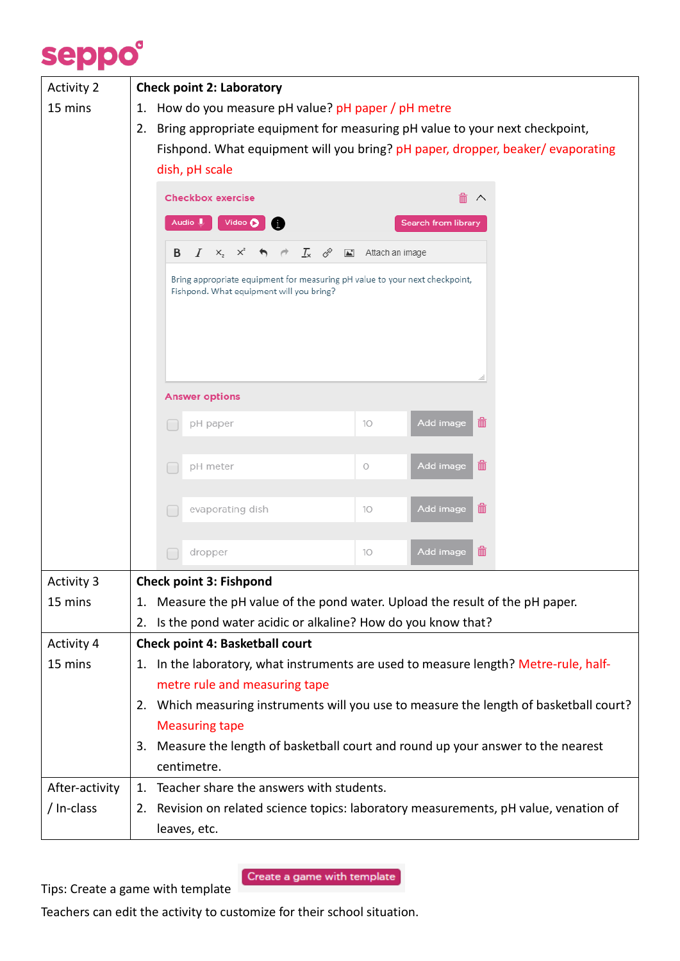

| <b>Activity 2</b> | <b>Check point 2: Laboratory</b>                                                                                        |  |  |  |  |  |  |  |  |  |  |
|-------------------|-------------------------------------------------------------------------------------------------------------------------|--|--|--|--|--|--|--|--|--|--|
| 15 mins           | How do you measure pH value? pH paper / pH metre<br>1.                                                                  |  |  |  |  |  |  |  |  |  |  |
|                   | Bring appropriate equipment for measuring pH value to your next checkpoint,<br>2.                                       |  |  |  |  |  |  |  |  |  |  |
|                   | Fishpond. What equipment will you bring? pH paper, dropper, beaker/evaporating                                          |  |  |  |  |  |  |  |  |  |  |
|                   | dish, pH scale                                                                                                          |  |  |  |  |  |  |  |  |  |  |
|                   | <b>Checkbox exercise</b><br>侖<br>∧                                                                                      |  |  |  |  |  |  |  |  |  |  |
|                   | Video O<br>Audio U<br><b>Search from library</b>                                                                        |  |  |  |  |  |  |  |  |  |  |
|                   | $\mathcal{I}_x$ $\mathscr{I}$ $\blacksquare$ Attach an image<br>I<br>$X_2$ $X^2$<br>B<br>$\rightarrow$ $\rightarrow$    |  |  |  |  |  |  |  |  |  |  |
|                   |                                                                                                                         |  |  |  |  |  |  |  |  |  |  |
|                   | Bring appropriate equipment for measuring pH value to your next checkpoint,<br>Fishpond. What equipment will you bring? |  |  |  |  |  |  |  |  |  |  |
|                   |                                                                                                                         |  |  |  |  |  |  |  |  |  |  |
|                   |                                                                                                                         |  |  |  |  |  |  |  |  |  |  |
|                   |                                                                                                                         |  |  |  |  |  |  |  |  |  |  |
|                   |                                                                                                                         |  |  |  |  |  |  |  |  |  |  |
|                   | <b>Answer options</b>                                                                                                   |  |  |  |  |  |  |  |  |  |  |
|                   | 孟<br>Add image<br>pH paper<br>10<br>٠                                                                                   |  |  |  |  |  |  |  |  |  |  |
|                   |                                                                                                                         |  |  |  |  |  |  |  |  |  |  |
|                   | 孟<br>Add image<br>pH meter<br>$\circ$<br>r                                                                              |  |  |  |  |  |  |  |  |  |  |
|                   |                                                                                                                         |  |  |  |  |  |  |  |  |  |  |
|                   | 勔<br>Add image<br>evaporating dish<br>10<br>г                                                                           |  |  |  |  |  |  |  |  |  |  |
|                   |                                                                                                                         |  |  |  |  |  |  |  |  |  |  |
|                   | 勔<br><b>Add image</b><br>10 <sup>°</sup><br>dropper                                                                     |  |  |  |  |  |  |  |  |  |  |
| <b>Activity 3</b> | <b>Check point 3: Fishpond</b>                                                                                          |  |  |  |  |  |  |  |  |  |  |
| 15 mins           | 1. Measure the pH value of the pond water. Upload the result of the pH paper.                                           |  |  |  |  |  |  |  |  |  |  |
|                   | Is the pond water acidic or alkaline? How do you know that?<br>2.                                                       |  |  |  |  |  |  |  |  |  |  |
| <b>Activity 4</b> | <b>Check point 4: Basketball court</b>                                                                                  |  |  |  |  |  |  |  |  |  |  |
| 15 mins           | 1. In the laboratory, what instruments are used to measure length? Metre-rule, half-                                    |  |  |  |  |  |  |  |  |  |  |
|                   | metre rule and measuring tape                                                                                           |  |  |  |  |  |  |  |  |  |  |
|                   | 2. Which measuring instruments will you use to measure the length of basketball court?                                  |  |  |  |  |  |  |  |  |  |  |
|                   | <b>Measuring tape</b>                                                                                                   |  |  |  |  |  |  |  |  |  |  |
|                   | Measure the length of basketball court and round up your answer to the nearest<br>3.                                    |  |  |  |  |  |  |  |  |  |  |
|                   | centimetre.                                                                                                             |  |  |  |  |  |  |  |  |  |  |
| After-activity    | Teacher share the answers with students.<br>1.                                                                          |  |  |  |  |  |  |  |  |  |  |
| / In-class        | Revision on related science topics: laboratory measurements, pH value, venation of<br>2.                                |  |  |  |  |  |  |  |  |  |  |
|                   | leaves, etc.                                                                                                            |  |  |  |  |  |  |  |  |  |  |

Tips: Create a game with template

Create a game with template

Teachers can edit the activity to customize for their school situation.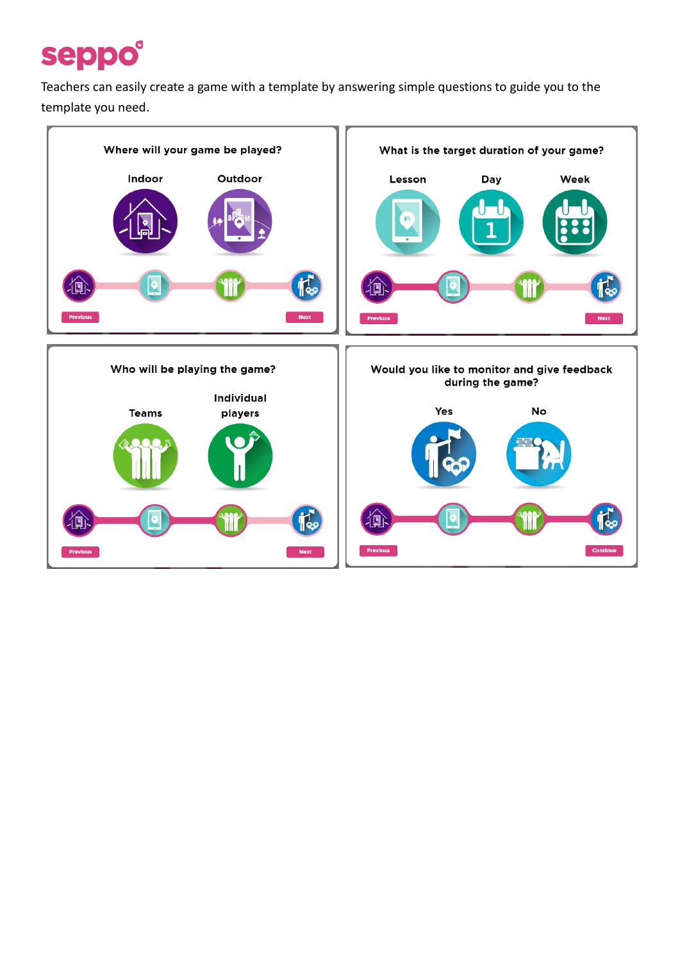## seppo®

Teachers can easily create a game with a template by answering simple questions to guide you to the template you need.

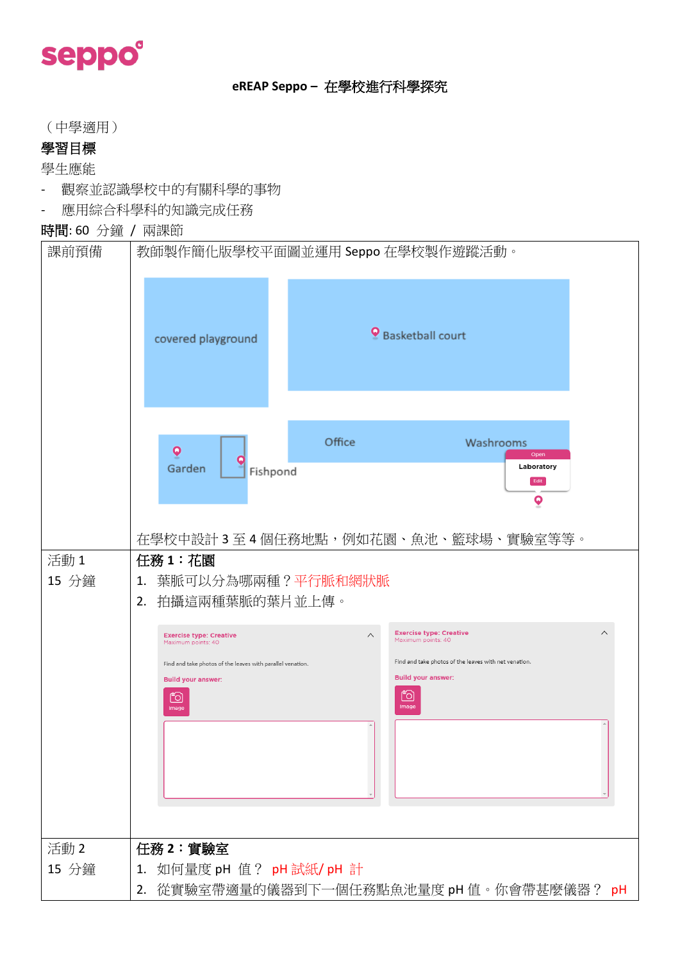# seppo®

### **eREAP Seppo –** 在學校進行科學探究

(中學適用)

### 學習目標

學生應能

- 觀察並認識學校中的有關科學的事物
- 應用綜合科學科的知識完成任務

### 時間: 60 分鐘 / 兩課節

| 課前預備          | 教師製作簡化版學校平面圖並運用 Seppo 在學校製作遊蹤活動。<br><b>9</b> Basketball court<br>covered playground                                                                                                                                                                                                                                                                                                                                                                 |
|---------------|-----------------------------------------------------------------------------------------------------------------------------------------------------------------------------------------------------------------------------------------------------------------------------------------------------------------------------------------------------------------------------------------------------------------------------------------------------|
|               | Office<br>Washrooms<br>$\boldsymbol{\mathsf{Q}}$<br>Open<br>Laboratory<br>Garden<br>Fishpond<br>Edit<br>$\overline{\mathbf{Q}}$                                                                                                                                                                                                                                                                                                                     |
| 活動1<br>15 分鐘  | 在學校中設計 3 至 4 個任務地點,例如花園、魚池、籃球場、實驗室等等。<br>任務 1:花園<br>葉脈可以分為哪兩種?平行脈和網狀脈<br>1.<br>拍攝這兩種葉脈的葉片並上傳。<br>2.<br><b>Exercise type: Creative</b><br>$\wedge$<br><b>Exercise type: Creative</b><br>Λ<br>Maximum points: 40<br>Maximum points: 40<br>Find and take photos of the leaves with net venation.<br>Find and take photos of the leaves with parallel venation.<br><b>Build your answer:</b><br><b>Build your answer:</b><br>Ĩ0<br>Ĩ0<br>Image<br>Image |
| 活動 2<br>15 分鐘 | 任務2:實驗室<br>如何量度 pH 值? pH 試紙/ pH 計<br>1.<br>2. 從實驗室帶適量的儀器到下一個任務點魚池量度 pH 值。你會帶甚麼儀器? pH                                                                                                                                                                                                                                                                                                                                                                |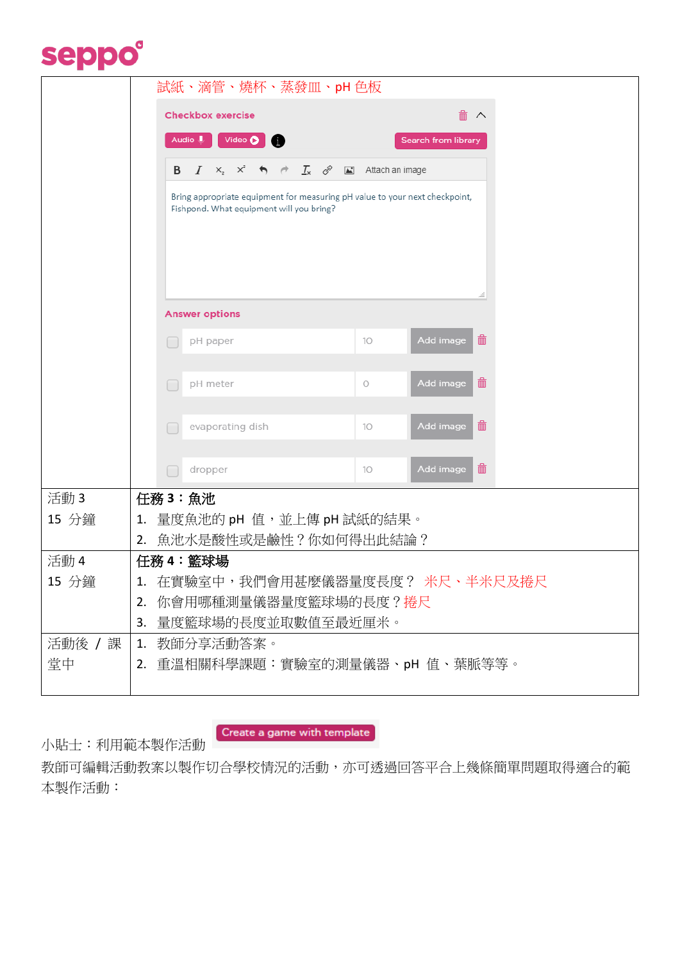### seppo®

|        | 試紙、滴管、燒杯、蒸發皿、pH 色板                       |                                                                                                                         |                          |                                                 |                             |  |  |                     |                                                              |  |                                  |                |
|--------|------------------------------------------|-------------------------------------------------------------------------------------------------------------------------|--------------------------|-------------------------------------------------|-----------------------------|--|--|---------------------|--------------------------------------------------------------|--|----------------------------------|----------------|
|        | <b>Checkbox exercise</b>                 |                                                                                                                         |                          |                                                 |                             |  |  |                     |                                                              |  |                                  |                |
|        | Audio U<br>Video <b>D</b> i              |                                                                                                                         |                          |                                                 |                             |  |  | Search from library |                                                              |  |                                  |                |
|        |                                          | B                                                                                                                       |                          | $I \times_{\mathfrak{z}} \times^{\mathfrak{z}}$ | $\rightarrow$ $\rightarrow$ |  |  |                     | $\mathcal{I}_x$ $\mathscr{I}$ $\blacksquare$ Attach an image |  |                                  |                |
|        |                                          |                                                                                                                         |                          |                                                 |                             |  |  |                     |                                                              |  |                                  |                |
|        |                                          | Bring appropriate equipment for measuring pH value to your next checkpoint,<br>Fishpond. What equipment will you bring? |                          |                                                 |                             |  |  |                     |                                                              |  |                                  |                |
|        |                                          |                                                                                                                         |                          |                                                 |                             |  |  |                     |                                                              |  |                                  |                |
|        |                                          |                                                                                                                         |                          |                                                 |                             |  |  |                     |                                                              |  |                                  |                |
|        |                                          |                                                                                                                         |                          |                                                 |                             |  |  |                     |                                                              |  |                                  |                |
|        |                                          |                                                                                                                         |                          |                                                 |                             |  |  |                     |                                                              |  |                                  |                |
|        |                                          |                                                                                                                         | <b>Answer options</b>    |                                                 |                             |  |  |                     |                                                              |  |                                  |                |
|        |                                          | ■                                                                                                                       | pH paper                 |                                                 |                             |  |  |                     | 10                                                           |  | Add image                        | 孟              |
|        |                                          |                                                                                                                         |                          |                                                 |                             |  |  |                     |                                                              |  |                                  |                |
|        |                                          | г                                                                                                                       | pH meter                 |                                                 |                             |  |  |                     | О                                                            |  | Add image                        | 孟              |
|        |                                          |                                                                                                                         |                          |                                                 |                             |  |  |                     |                                                              |  |                                  |                |
|        |                                          |                                                                                                                         |                          | evaporating dish                                |                             |  |  |                     | 10                                                           |  | Add image                        | $\blacksquare$ |
|        |                                          |                                                                                                                         |                          |                                                 |                             |  |  |                     |                                                              |  |                                  |                |
|        |                                          |                                                                                                                         | dropper                  |                                                 |                             |  |  |                     | 10                                                           |  | Add image                        | 孟              |
| 活動3    |                                          |                                                                                                                         | 任務 3: 魚池                 |                                                 |                             |  |  |                     |                                                              |  |                                  |                |
| 15 分鐘  | 1.                                       |                                                                                                                         | 量度魚池的 pH 值,並上傳 pH 試紙的結果。 |                                                 |                             |  |  |                     |                                                              |  |                                  |                |
|        | 2.                                       |                                                                                                                         | 魚池水是酸性或是鹼性?你如何得出此結論?     |                                                 |                             |  |  |                     |                                                              |  |                                  |                |
| 活動 4   |                                          |                                                                                                                         | 任務 4:籃球場                 |                                                 |                             |  |  |                     |                                                              |  |                                  |                |
| 15 分鐘  |                                          |                                                                                                                         |                          |                                                 |                             |  |  |                     |                                                              |  | 1. 在實驗室中,我們會用甚麼儀器量度長度? 米尺、半米尺及捲尺 |                |
|        |                                          | 你會用哪種測量儀器量度籃球場的長度?捲尺<br>2.                                                                                              |                          |                                                 |                             |  |  |                     |                                                              |  |                                  |                |
| 活動後 /課 | 量度籃球場的長度並取數值至最近厘米。<br>3.<br>1. 教師分享活動答案。 |                                                                                                                         |                          |                                                 |                             |  |  |                     |                                                              |  |                                  |                |
| 堂中     | 2. 重溫相關科學課題:實驗室的測量儀器、pH 值、葉脈等等。          |                                                                                                                         |                          |                                                 |                             |  |  |                     |                                                              |  |                                  |                |
|        |                                          |                                                                                                                         |                          |                                                 |                             |  |  |                     |                                                              |  |                                  |                |

小貼士:利用範本製作活動

Create a game with template

教師可編輯活動教案以製作切合學校情況的活動,亦可透過回答平合上幾條簡單問題取得適合的範 本製作活動: